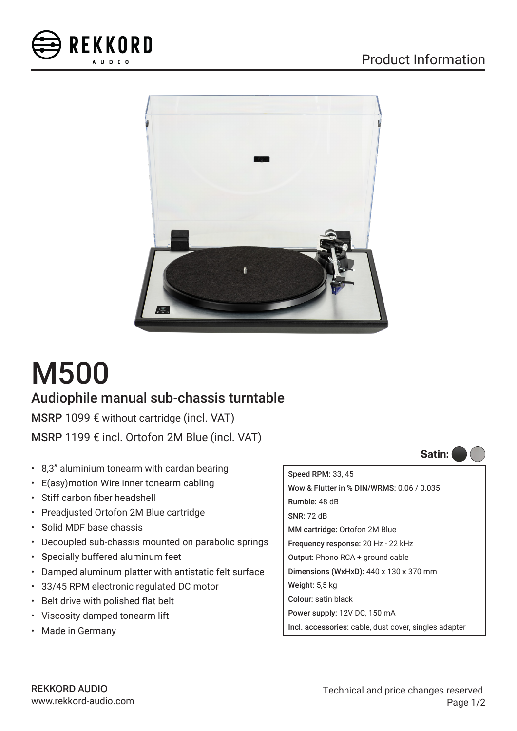



## M500

## Audiophile manual sub-chassis turntable

MSRP 1099 € without cartridge (incl. VAT)

MSRP 1199 € incl. Ortofon 2M Blue (incl. VAT)

- 8,3" aluminium tonearm with cardan bearing
- E(asy)motion Wire inner tonearm cabling
- Stiff carbon fiber headshell
- Preadjusted Ortofon 2M Blue cartridge
- Solid MDF base chassis
- Decoupled sub-chassis mounted on parabolic springs
- Specially buffered aluminum feet
- Damped aluminum platter with antistatic felt surface
- 33/45 RPM electronic regulated DC motor
- Belt drive with polished flat belt
- Viscosity-damped tonearm lift
- Made in Germany

Speed RPM: 33, 45 Wow & Flutter in % DIN/WRMS: 0.06 / 0.035 Rumble: 48 dB SNR: 72 dB MM cartridge: Ortofon 2M Blue Frequency response: 20 Hz - 22 kHz Output: Phono RCA + ground cable Dimensions (WxHxD): 440 x 130 x 370 mm Weight: 5,5 kg Colour: satin black Power supply: 12V DC, 150 mA Incl. accessories: cable, dust cover, singles adapter **Satin:**